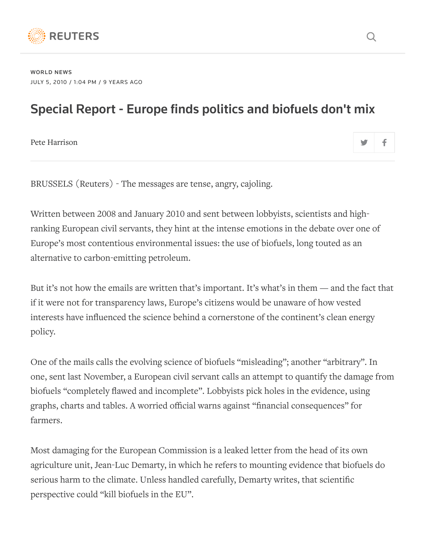

[WORLD](https://uk.reuters.com/news/archive/worldNews) NEWS JULY 5, 2010 / 1:04 PM / 9 YEARS AGO

# Special Report - Europe finds politics and biofuels don't mix

[Pete Harrison](https://uk.reuters.com/journalists/pete-harrison)

BRUSSELS (Reuters) - The messages are tense, angry, cajoling.

Written between 2008 and January 2010 and sent between lobbyists, scientists and highranking European civil servants, they hint at the intense emotions in the debate over one of Europe's most contentious environmental issues: the use of biofuels, long touted as an alternative to carbon-emitting petroleum.

But it's not how the emails are written that's important. It's what's in them — and the fact that if it were not for transparency laws, Europe's citizens would be unaware of how vested interests have influenced the science behind a cornerstone of the continent's clean energy policy.

One of the mails calls the evolving science of biofuels "misleading"; another "arbitrary". In one, sent last November, a European civil servant calls an attempt to quantify the damage from biofuels "completely flawed and incomplete". Lobbyists pick holes in the evidence, using graphs, charts and tables. A worried official warns against "financial consequences" for farmers.

Most damaging for the European Commission is a leaked letter from the head of its own agriculture unit, Jean-Luc Demarty, in which he refers to mounting evidence that biofuels do serious harm to the climate. Unless handled carefully, Demarty writes, that scientific perspective could "kill biofuels in the EU".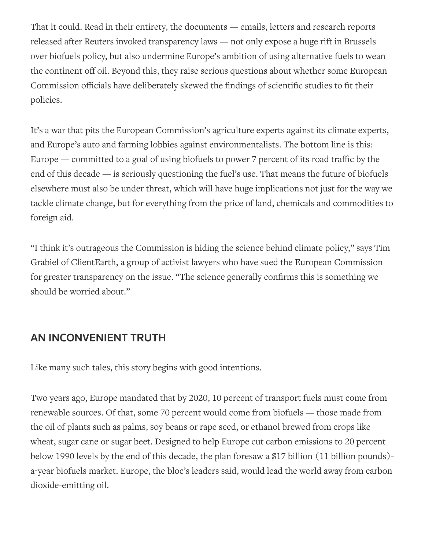That it could. Read in their entirety, the documents — emails, letters and research reports released after Reuters invoked transparency laws — not only expose a huge rift in Brussels over biofuels policy, but also undermine Europe's ambition of using alternative fuels to wean the continent off oil. Beyond this, they raise serious questions about whether some European Commission officials have deliberately skewed the findings of scientific studies to fit their policies.

It's a war that pits the European Commission's agriculture experts against its climate experts, and Europe's auto and farming lobbies against environmentalists. The bottom line is this: Europe — committed to a goal of using biofuels to power 7 percent of its road traffic by the end of this decade — is seriously questioning the fuel's use. That means the future of biofuels elsewhere must also be under threat, which will have huge implications not just for the way we tackle climate change, but for everything from the price of land, chemicals and commodities to foreign aid.

"I think it's outrageous the Commission is hiding the science behind climate policy," says Tim Grabiel of ClientEarth, a group of activist lawyers who have sued the European Commission for greater transparency on the issue. "The science generally confirms this is something we should be worried about."

# AN INCONVENIENT TRUTH

Like many such tales, this story begins with good intentions.

Two years ago, Europe mandated that by 2020, 10 percent of transport fuels must come from renewable sources. Of that, some 70 percent would come from biofuels — those made from the oil of plants such as palms, soy beans or rape seed, or ethanol brewed from crops like wheat, sugar cane or sugar beet. Designed to help Europe cut carbon emissions to 20 percent below 1990 levels by the end of this decade, the plan foresaw a \$17 billion (11 billion pounds) a-year biofuels market. Europe, the bloc's leaders said, would lead the world away from carbon dioxide-emitting oil.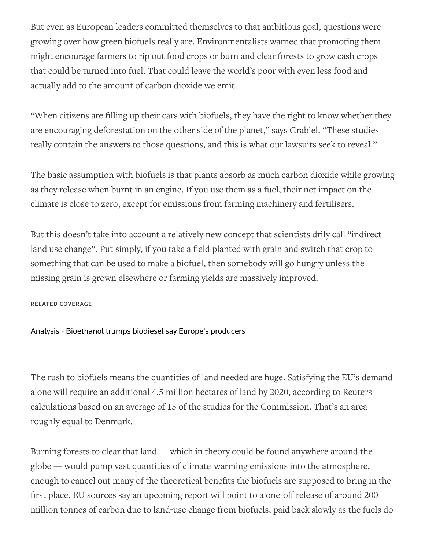But even as European leaders committed themselves to that ambitious goal, questions were growing over how green biofuels really are. Environmentalists warned that promoting them might encourage farmers to rip out food crops or burn and clear forests to grow cash crops that could be turned into fuel. That could leave the world's poor with even less food and actually add to the amount of carbon dioxide we emit.

"When citizens are filling up their cars with biofuels, they have the right to know whether they are encouraging deforestation on the other side of the planet," says Grabiel. "These studies really contain the answers to those questions, and this is what our lawsuits seek to reveal."

The basic assumption with biofuels is that plants absorb as much carbon dioxide while growing as they release when burnt in an engine. If you use them as a fuel, their net impact on the climate is close to zero, except for emissions from farming machinery and fertilisers.

But this doesn't take into account a relatively new concept that scientists drily call "indirect land use change". Put simply, if you take a field planted with grain and switch that crop to something that can be used to make a biofuel, then somebody will go hungry unless the missing grain is grown elsewhere or farming yields are massively improved.

#### RELATED COVERAGE

#### Analysis - [Bioethanol](https://uk.reuters.com/article/uk-biofuels/analysis-bioethanol-trumps-biodiesel-say-europes-producers-idUKTRE6642P020100705) trumps biodiesel say Europe's producers

The rush to biofuels means the quantities of land needed are huge. Satisfying the EU's demand alone will require an additional 4.5 million hectares of land by 2020, according to Reuters calculations based on an average of 15 of the studies for the Commission. That's an area roughly equal to Denmark.

Burning forests to clear that land — which in theory could be found anywhere around the globe — would pump vast quantities of climate-warming emissions into the atmosphere, enough to cancel out many of the theoretical benefits the biofuels are supposed to bring in the first place. EU sources say an upcoming report will point to a one-off release of around 200 million tonnes of carbon due to land-use change from biofuels, paid back slowly as the fuels do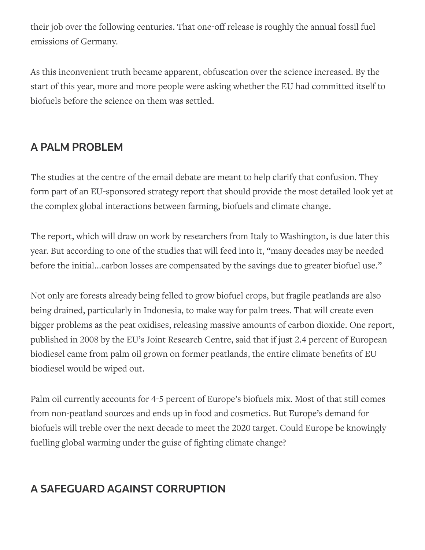their job over the following centuries. That one-off release is roughly the annual fossil fuel emissions of Germany.

As this inconvenient truth became apparent, obfuscation over the science increased. By the start of this year, more and more people were asking whether the EU had committed itself to biofuels before the science on them was settled.

# A PALM PROBLEM

The studies at the centre of the email debate are meant to help clarify that confusion. They form part of an EU-sponsored strategy report that should provide the most detailed look yet at the complex global interactions between farming, biofuels and climate change.

The report, which will draw on work by researchers from Italy to Washington, is due later this year. But according to one of the studies that will feed into it, "many decades may be needed before the initial...carbon losses are compensated by the savings due to greater biofuel use."

Not only are forests already being felled to grow biofuel crops, but fragile peatlands are also being drained, particularly in Indonesia, to make way for palm trees. That will create even bigger problems as the peat oxidises, releasing massive amounts of carbon dioxide. One report, published in 2008 by the EU's Joint Research Centre, said that if just 2.4 percent of European biodiesel came from palm oil grown on former peatlands, the entire climate benefits of EU biodiesel would be wiped out.

Palm oil currently accounts for 4-5 percent of Europe's biofuels mix. Most of that still comes from non-peatland sources and ends up in food and cosmetics. But Europe's demand for biofuels will treble over the next decade to meet the 2020 target. Could Europe be knowingly fuelling global warming under the guise of fighting climate change?

# A SAFEGUARD AGAINST CORRUPTION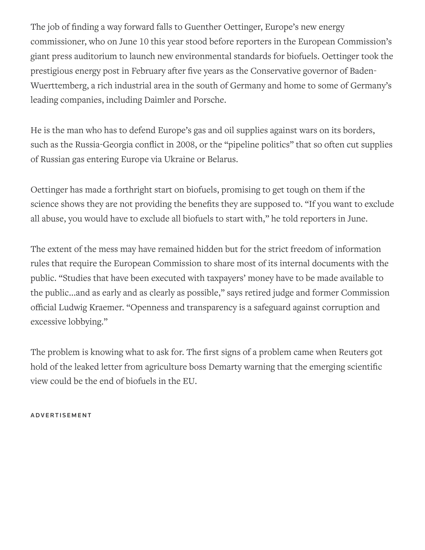The job of finding a way forward falls to Guenther Oettinger, Europe's new energy commissioner, who on June 10 this year stood before reporters in the European Commission's giant press auditorium to launch new environmental standards for biofuels. Oettinger took the prestigious energy post in February after five years as the Conservative governor of Baden-Wuerttemberg, a rich industrial area in the south of Germany and home to some of Germany's leading companies, including Daimler and Porsche.

He is the man who has to defend Europe's gas and oil supplies against wars on its borders, such as the Russia-Georgia conflict in 2008, or the "pipeline politics" that so often cut supplies of Russian gas entering Europe via Ukraine or Belarus.

Oettinger has made a forthright start on biofuels, promising to get tough on them if the science shows they are not providing the benefits they are supposed to. "If you want to exclude all abuse, you would have to exclude all biofuels to start with," he told reporters in June.

The extent of the mess may have remained hidden but for the strict freedom of information rules that require the European Commission to share most of its internal documents with the public. "Studies that have been executed with taxpayers' money have to be made available to the public...and as early and as clearly as possible," says retired judge and former Commission official Ludwig Kraemer. "Openness and transparency is a safeguard against corruption and excessive lobbying."

The problem is knowing what to ask for. The first signs of a problem came when Reuters got hold of the leaked letter from agriculture boss Demarty warning that the emerging scientific view could be the end of biofuels in the EU.

**ADVERTISEMENT**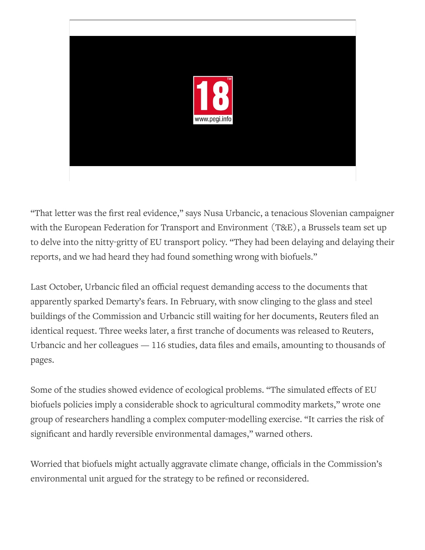

"That letter was the first real evidence," says Nusa Urbancic, a tenacious Slovenian campaigner with the European Federation for Transport and Environment (T&E), a Brussels team set up to delve into the nitty-gritty of EU transport policy. "They had been delaying and delaying their reports, and we had heard they had found something wrong with biofuels."

Last October, Urbancic filed an official request demanding access to the documents that apparently sparked Demarty's fears. In February, with snow clinging to the glass and steel buildings of the Commission and Urbancic still waiting for her documents, Reuters filed an identical request. Three weeks later, a first tranche of documents was released to Reuters, Urbancic and her colleagues — 116 studies, data files and emails, amounting to thousands of pages.

Some of the studies showed evidence of ecological problems. "The simulated effects of EU biofuels policies imply a considerable shock to agricultural commodity markets," wrote one group of researchers handling a complex computer-modelling exercise. "It carries the risk of significant and hardly reversible environmental damages," warned others.

Worried that biofuels might actually aggravate climate change, officials in the Commission's environmental unit argued for the strategy to be refined or reconsidered.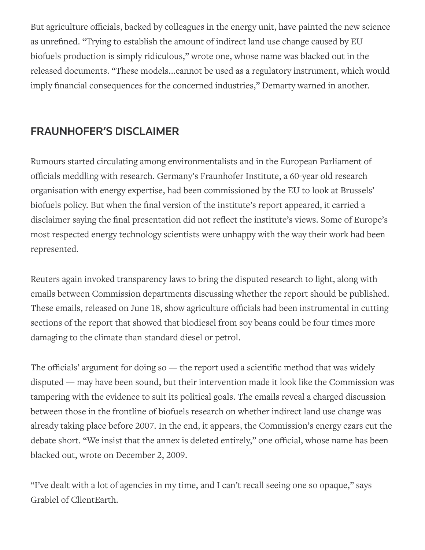But agriculture officials, backed by colleagues in the energy unit, have painted the new science as unrefined. "Trying to establish the amount of indirect land use change caused by EU biofuels production is simply ridiculous," wrote one, whose name was blacked out in the released documents. "These models...cannot be used as a regulatory instrument, which would imply financial consequences for the concerned industries," Demarty warned in another.

### FRAUNHOFER'S DISCLAIMER

Rumours started circulating among environmentalists and in the European Parliament of officials meddling with research. Germany's Fraunhofer Institute, a 60-year old research organisation with energy expertise, had been commissioned by the EU to look at Brussels' biofuels policy. But when the final version of the institute's report appeared, it carried a disclaimer saying the final presentation did not reflect the institute's views. Some of Europe's most respected energy technology scientists were unhappy with the way their work had been represented.

Reuters again invoked transparency laws to bring the disputed research to light, along with emails between Commission departments discussing whether the report should be published. These emails, released on June 18, show agriculture officials had been instrumental in cutting sections of the report that showed that biodiesel from soy beans could be four times more damaging to the climate than standard diesel or petrol.

The officials' argument for doing so — the report used a scientific method that was widely disputed — may have been sound, but their intervention made it look like the Commission was tampering with the evidence to suit its political goals. The emails reveal a charged discussion between those in the frontline of biofuels research on whether indirect land use change was already taking place before 2007. In the end, it appears, the Commission's energy czars cut the debate short. "We insist that the annex is deleted entirely," one official, whose name has been blacked out, wrote on December 2, 2009.

"I've dealt with a lot of agencies in my time, and I can't recall seeing one so opaque," says Grabiel of ClientEarth.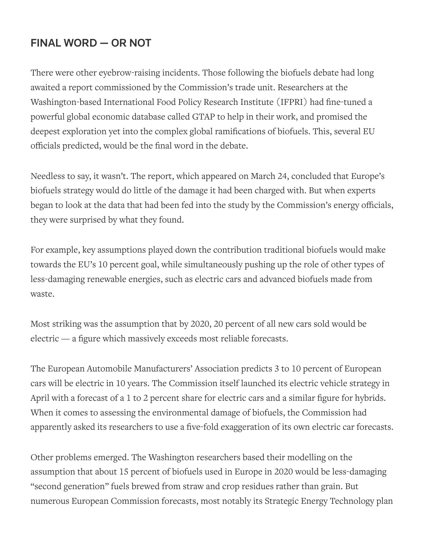# FINAL WORD — OR NOT

There were other eyebrow-raising incidents. Those following the biofuels debate had long awaited a report commissioned by the Commission's trade unit. Researchers at the Washington-based International Food Policy Research Institute (IFPRI) had fine-tuned a powerful global economic database called GTAP to help in their work, and promised the deepest exploration yet into the complex global ramifications of biofuels. This, several EU officials predicted, would be the final word in the debate.

Needless to say, it wasn't. The report, which appeared on March 24, concluded that Europe's biofuels strategy would do little of the damage it had been charged with. But when experts began to look at the data that had been fed into the study by the Commission's energy officials, they were surprised by what they found.

For example, key assumptions played down the contribution traditional biofuels would make towards the EU's 10 percent goal, while simultaneously pushing up the role of other types of less-damaging renewable energies, such as electric cars and advanced biofuels made from waste.

Most striking was the assumption that by 2020, 20 percent of all new cars sold would be electric — a figure which massively exceeds most reliable forecasts.

The European Automobile Manufacturers' Association predicts 3 to 10 percent of European cars will be electric in 10 years. The Commission itself launched its electric vehicle strategy in April with a forecast of a 1 to 2 percent share for electric cars and a similar figure for hybrids. When it comes to assessing the environmental damage of biofuels, the Commission had apparently asked its researchers to use a five-fold exaggeration of its own electric car forecasts.

Other problems emerged. The Washington researchers based their modelling on the assumption that about 15 percent of biofuels used in Europe in 2020 would be less-damaging "second generation" fuels brewed from straw and crop residues rather than grain. But numerous European Commission forecasts, most notably its Strategic Energy Technology plan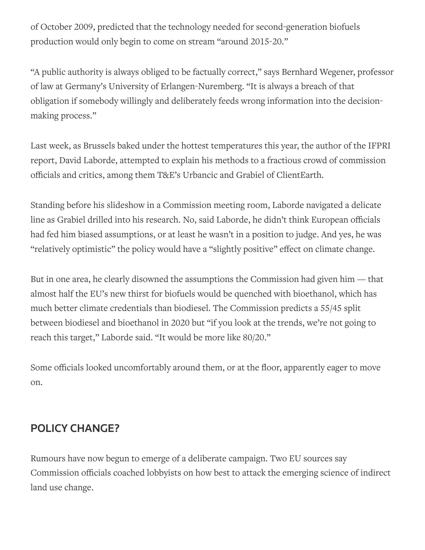of October 2009, predicted that the technology needed for second-generation biofuels production would only begin to come on stream "around 2015-20."

"A public authority is always obliged to be factually correct," says Bernhard Wegener, professor of law at Germany's University of Erlangen-Nuremberg. "It is always a breach of that obligation if somebody willingly and deliberately feeds wrong information into the decisionmaking process."

Last week, as Brussels baked under the hottest temperatures this year, the author of the IFPRI report, David Laborde, attempted to explain his methods to a fractious crowd of commission officials and critics, among them T&E's Urbancic and Grabiel of ClientEarth.

Standing before his slideshow in a Commission meeting room, Laborde navigated a delicate line as Grabiel drilled into his research. No, said Laborde, he didn't think European officials had fed him biased assumptions, or at least he wasn't in a position to judge. And yes, he was "relatively optimistic" the policy would have a "slightly positive" effect on climate change.

But in one area, he clearly disowned the assumptions the Commission had given him — that almost half the EU's new thirst for biofuels would be quenched with bioethanol, which has much better climate credentials than biodiesel. The Commission predicts a 55/45 split between biodiesel and bioethanol in 2020 but "if you look at the trends, we're not going to reach this target," Laborde said. "It would be more like 80/20."

Some officials looked uncomfortably around them, or at the floor, apparently eager to move on.

# POLICY CHANGE?

Rumours have now begun to emerge of a deliberate campaign. Two EU sources say Commission officials coached lobbyists on how best to attack the emerging science of indirect land use change.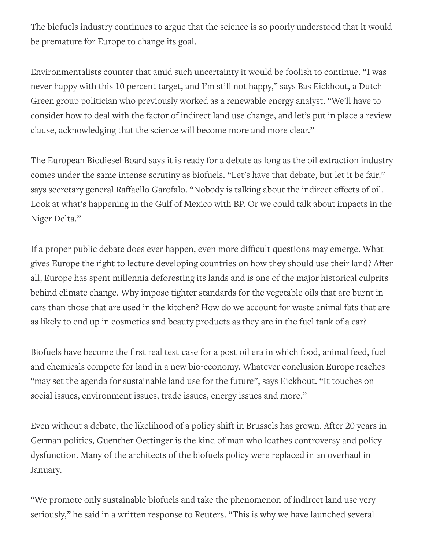The biofuels industry continues to argue that the science is so poorly understood that it would be premature for Europe to change its goal.

Environmentalists counter that amid such uncertainty it would be foolish to continue. "I was never happy with this 10 percent target, and I'm still not happy," says Bas Eickhout, a Dutch Green group politician who previously worked as a renewable energy analyst. "We'll have to consider how to deal with the factor of indirect land use change, and let's put in place a review clause, acknowledging that the science will become more and more clear."

The European Biodiesel Board says it is ready for a debate as long as the oil extraction industry comes under the same intense scrutiny as biofuels. "Let's have that debate, but let it be fair," says secretary general Raffaello Garofalo. "Nobody is talking about the indirect effects of oil. Look at what's happening in the Gulf of Mexico with BP. Or we could talk about impacts in the Niger Delta."

If a proper public debate does ever happen, even more difficult questions may emerge. What gives Europe the right to lecture developing countries on how they should use their land? After all, Europe has spent millennia deforesting its lands and is one of the major historical culprits behind climate change. Why impose tighter standards for the vegetable oils that are burnt in cars than those that are used in the kitchen? How do we account for waste animal fats that are as likely to end up in cosmetics and beauty products as they are in the fuel tank of a car?

Biofuels have become the first real test-case for a post-oil era in which food, animal feed, fuel and chemicals compete for land in a new bio-economy. Whatever conclusion Europe reaches "may set the agenda for sustainable land use for the future", says Eickhout. "It touches on social issues, environment issues, trade issues, energy issues and more."

Even without a debate, the likelihood of a policy shift in Brussels has grown. After 20 years in German politics, Guenther Oettinger is the kind of man who loathes controversy and policy dysfunction. Many of the architects of the biofuels policy were replaced in an overhaul in January.

"We promote only sustainable biofuels and take the phenomenon of indirect land use very seriously," he said in a written response to Reuters. "This is why we have launched several